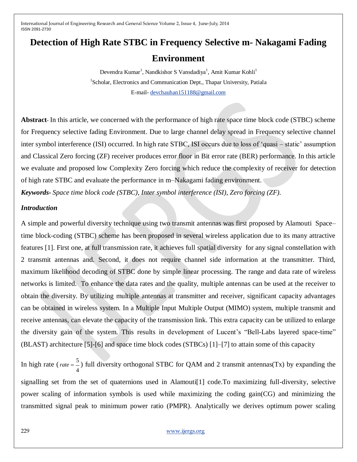# **Detection of High Rate STBC in Frequency Selective m- Nakagami Fading**

# **Environment**

Devendra Kumar<sup>1</sup>, Nandkishor S Vansdadiya<sup>1</sup>, Amit Kumar Kohli<sup>1</sup> <sup>1</sup>Scholar, Electronics and Communication Dept., Thapar University, Patiala E-mail- [devchauhan151188@gmail.com](mailto:devchauhan151188@gmail.com)

**Abstract-** In this article, we concerned with the performance of high rate space time block code (STBC) scheme for Frequency selective fading Environment. Due to large channel delay spread in Frequency selective channel inter symbol interference (ISI) occurred. In high rate STBC, ISI occurs due to loss of "quasi – static" assumption and Classical Zero forcing (ZF) receiver produces error floor in Bit error rate (BER) performance. In this article we evaluate and proposed low Complexity Zero forcing which reduce the complexity of receiver for detection of high rate STBC and evaluate the performance in m–Nakagami fading environment.

*Keywords***-** *Space time block code (STBC), Inter symbol interference (ISI), Zero forcing (ZF).*

# *Introduction*

A simple and powerful diversity technique using two transmit antennas was first proposed by Alamouti Space– time block-coding (STBC) scheme has been proposed in several wireless application due to its many attractive features [1]. First one, at full transmission rate, it achieves full spatial diversity for any signal constellation with 2 transmit antennas and. Second, it does not require channel side information at the transmitter. Third, maximum likelihood decoding of STBC done by simple linear processing. The range and data rate of wireless networks is limited. To enhance the data rates and the quality, multiple antennas can be used at the receiver to obtain the diversity. By utilizing multiple antennas at transmitter and receiver, significant capacity advantages can be obtained in wireless system. In a Multiple Input Multiple Output (MIMO) system, multiple transmit and receive antennas, can elevate the capacity of the transmission link. This extra capacity can be utilized to enlarge the diversity gain of the system. This results in development of Lucent"s "Bell-Labs layered space-time" (BLAST) architecture [5]-[6] and space time block codes (STBCs) [1]–[7] to attain some of this capacity

In high rate (*rate* =  $\frac{5}{5}$ 4 *rate*  $=$   $\rightarrow$  ) full diversity orthogonal STBC for QAM and 2 transmit antennas(Tx) by expanding the signalling set from the set of quaternions used in Alamouti[1] code.To maximizing full-diversity, selective power scaling of information symbols is used while maximizing the coding gain(CG) and minimizing the transmitted signal peak to minimum power ratio (PMPR). Analytically we derives optimum power scaling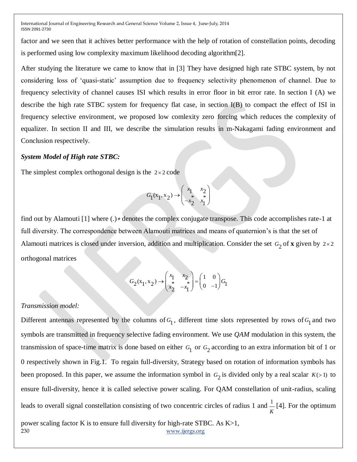factor and we seen that it achives better performance with the help of rotation of constellation points, decoding is performed using low complexity maximum likelihood decoding algorithm[2].

After studying the literature we came to know that in [3] They have designed high rate STBC system, by not considering loss of "quasi-static" assumption due to frequency selectivity phenomenon of channel. Due to frequency selectivity of channel causes ISI which results in error floor in bit error rate. In section I (A) we describe the high rate STBC system for frequency flat case, in section I(B) to compact the effect of ISI in frequency selective environment, we proposed low comlexity zero forcing which reduces the complexity of equalizer. In section II and III, we describe the simulation results in m-Nakagami fading environment and Conclusion respectively.

#### *System Model of High rate STBC:*

The simplest complex orthogonal design is the  $2 \times 2$  code

$$
G_1(x_1, x_2) \rightarrow \begin{pmatrix} x_1 & x_2 \\ * & * \\ -x_2 & x_1 \end{pmatrix}
$$

find out by Alamouti [1] where (*.*)<sup>∗</sup> denotes the complex conjugate transpose. This code accomplishes rate-1 at full diversity. The correspondence between Alamouti matrices and means of quaternion's is that the set of Alamouti matrices is closed under inversion, addition and multiplication. Consider the set  $G_2$  of **x** given by  $2 \times 2$ orthogonal matrices

$$
G_2(x_1, x_2) \rightarrow \begin{pmatrix} x_1 & x_2 \\ * & * \\ x_2 & -x_1 \end{pmatrix} = \begin{pmatrix} 1 & 0 \\ 0 & -1 \end{pmatrix} G_1
$$

#### *Transmission model:*

230 [www.ijergs.org](http://www.ijergs.org/) Different antennas represented by the columns of  $G_1$ , different time slots represented by rows of  $G_1$  and two symbols are transmitted in frequency selective fading environment. We use *QAM* modulation in this system, the transmission of space-time matrix is done based on either  $G_1$  or  $G_2$  according to an extra information bit of 1 or 0 respectively shown in Fig.1. To regain full-diversity, Strategy based on rotation of information symbols has been proposed. In this paper, we assume the information symbol in  $G_2$  is divided only by a real scalar  $K(>1)$  to ensure full-diversity, hence it is called selective power scaling. For QAM constellation of unit-radius, scaling leads to overall signal constellation consisting of two concentric circles of radius 1 and  $\frac{1}{n}$ *K* [4]. For the optimum power scaling factor K is to ensure full diversity for high-rate STBC. As K>1,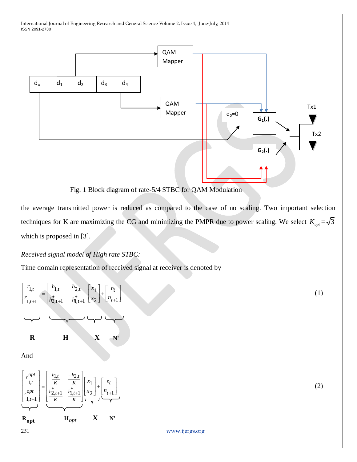

Fig. 1 Block diagram of rate-5/4 STBC for QAM Modulation

the average transmitted power is reduced as compared to the case of no scaling. Two important selection techniques for K are maximizing the CG and minimizing the PMPR due to power scaling. We select  $K_{opt} = \sqrt{3}$ which is proposed in [3].

*Received signal model of High rate STBC:*

Time domain representation of received signal at receiver is denoted by

$$
\begin{bmatrix}\nr_{1,t} \\
r_{1,t+1}\n\end{bmatrix} = \begin{bmatrix}\nh_{1,t} & h_{2,t} \\
h_{2,t+1}^* & -h_{1,t+1}^* \n\end{bmatrix} \begin{bmatrix}\nx_1 \\
x_2\n\end{bmatrix} + \begin{bmatrix}\nn_t \\
n_{t+1}\n\end{bmatrix}
$$
\n(A)  
\nAnd  
\n
$$
\begin{bmatrix}\nr^{opt} \\
r_{1,t} \\
r^{opt} \\
r^{opt} \\
r^{opt}\n\end{bmatrix} = \begin{bmatrix}\n\frac{h_{1,t}}{K} & \frac{-h_{2,t}}{K} \\
\frac{h_{2,t+1}^*}{K} & \frac{h_{1,t+1}^*}{K} \\
\frac{h_{2,t+1}^*}{K} & \frac{h_{1,t+1}^*}{K} \\
\frac{h_{2,t+1}^*}{K} & \frac{h_{2,t+1}^*}{K} & \frac{h_{2,t+1}^*}{K} \\
\frac{h_{2,t+1}^*}{K} & \frac{h_{2,t+1}^*}{K} & \frac{h_{2,t+1}^*}{K} \\
\frac{h_{2,t+1}^*}{K} & \frac{h_{2,t+1}^*}{K} & \frac{h_{2,t+1}^*}{K} & \frac{h_{2,t+1}^*}{K} \\
\frac{h_{2,t+1}^*}{K} & \frac{h_{2,t+1}^*}{K} & \frac{h_{2,t+1}^*}{K} & \frac{h_{2,t+1}^*}{K} & \frac{h_{2,t+1}^*}{K} \\
\frac{h_{2,t+1}^*}{K} & \frac{h_{2,t+1}^*}{K} & \frac{h_{2,t+1}^*}{K} & \frac{h_{2,t+1}^*}{K} & \frac{h_{2,t+1}^*}{K} & \frac{h_{2,t+1}^*}{K} & \frac{h_{2,t+1}^*}{K} & \frac{h_{2,t+1}^*}{K} \\
\frac{h_{2,t+1}^*}{K} & \frac{h_{2,t+1}^*}{K} & \frac{h_{2,t+1}^*}{K} & \frac{h_{2,t+1}^*}{K} & \frac{h_{2,t+1}^*}{K} & \frac{h_{2,t+1}^*}{K} & \frac{h_{2,t+1}^*}{K} & \frac{h_{2,t+1}^*}{
$$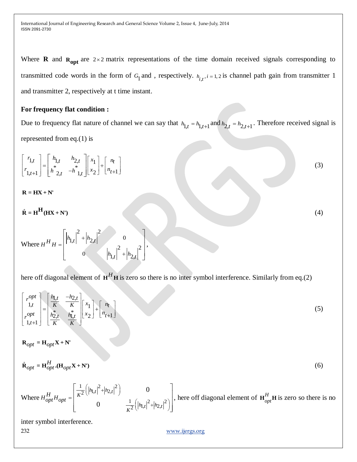Where **R** and  $\mathbf{R}_{opt}$  are  $2 \times 2$  matrix representations of the time domain received signals corresponding to transmitted code words in the form of  $G_1$  and, respectively.  $h_{i,t}$ ,  $i = 1, 2$  is channel path gain from transmitter 1 and transmitter 2, respectively at t time instant.

### **For frequency flat condition :**

Due to frequency flat nature of channel we can say that  $h_{1,t} = h_{1,t+1}$  and  $h_{2,t} = h_{2,t+1}$ . Therefore received signal is represented from eq.(1) is

(3)

(4)

$$
\begin{bmatrix} r_{1,t} \\ r_{1,t+1} \end{bmatrix} = \begin{bmatrix} h_{1,t} & h_{2,t} \\ h^* & -h^*_{1,t} \end{bmatrix} \begin{bmatrix} x_1 \\ x_2 \end{bmatrix} + \begin{bmatrix} n_t \\ n_{t+1} \end{bmatrix}
$$

 $R = HX + N'$ 

$$
\hat{\mathbf{R}} = \mathbf{H}^H(\mathbf{H}\mathbf{X} + \mathbf{N}')
$$

Where  $\left| \frac{1}{2} h_{2,t} \right|^2$  0 + $\begin{vmatrix} n_{2,t} \\ 0 \end{vmatrix}$  +  $\begin{vmatrix} h_{1,t} \\ 4 \end{vmatrix}^2$  +  $\begin{vmatrix} h_{2,t} \\ 4 \end{vmatrix}^2$  $H^H H = \left[ h_{1,t} \right]^2 + h_{2,t}$  $h_{1,t} \bigg|^2 + \bigg| h_{2,t} \bigg|$  $^{+}$  $=$  $^{+}$  $\left[\frac{1}{|h|}\right]^2 + \frac{1}{|h|}\right]^2$  0  $\left[ h_{1,t} \right]^2 + \left| h_{2,t} \right|^2$  0  $\begin{vmatrix} h_{1,t} & +h_{2,t} & 0 \\ 0 & h_{1,t} & 2 \end{vmatrix}$ ,  $\begin{vmatrix} 1 & 1 & 1 \\ 0 & 0 & |h_{1,t}|^2 + |h_{2,t}|^2 \end{vmatrix}$ ,

here off diagonal element of  $H^H$ **H** is zero so there is no inter symbol interference. Similarly from eq.(2)

$$
\begin{bmatrix} r^{opt} \\ 1,t \\ r^{opt} \\ 1,t+1 \end{bmatrix} = \begin{bmatrix} \frac{h_{1,t}}{K} & \frac{-h_{2,t}}{K} \\ \frac{h_{2,t}^*}{K} & \frac{h_{1,t}^*}{K} \end{bmatrix} \begin{bmatrix} x_1 \\ x_2 \end{bmatrix} + \begin{bmatrix} n_t \\ n_{t+1} \end{bmatrix}
$$
 (5)

 $\mathbf{R}_{opt} = \mathbf{H}_{opt} \mathbf{X} + \mathbf{N}$ 

$$
\hat{\mathbf{R}}_{opt} = \mathbf{H}_{opt}^H \cdot (\mathbf{H}_{opt} \mathbf{X} + \mathbf{N}^\dagger) \tag{6}
$$

Where  $\frac{1}{2}$   $\left( \frac{h}{|h|} t^2 + \frac{h}{|h|} t^2 \right)^2$  $\frac{1}{2}$  $\left( \left| h_{1,t} \right|^2 + \left| h_{2,t} \right|^2 \right)$  $\frac{1}{2}$   $\left( \frac{h}{\left| h \right|^{2} + \left| h \right|^{2}} \right)^{2}$  $\frac{1}{2}$  $\left( \left | n_{1,t} \right |^2 + \left | n_2 \right |$ 0 0  $\frac{1}{K^2} \left( \left| h_{1,t} \right|^2 + \left| h_{2,t} \right|^2 \right)$  0<br>
0<br>  $\frac{1}{K^2} \left( \left| h_{1,t} \right|^2 + \left| h_{2,t} \right|^2 \right)$ *<sup>H</sup> H H opt opt*  $(|h_{1,t}|^2 + |h_{2,t}|^2)$  $=\left[\begin{array}{cc} \overline{K^2} \left( |n_{1,t}|^{-1} |n_{2,t}| \right) & 0 \\ 0 & \frac{1}{K^2} \left( |n_{1,t}|^2 + |n_{2,t}|^2 \right) \end{array} \right],$ her  $\left[\frac{1}{r^2}(|h_{1,t}|^2+|h_{2,t}|^2)\right]$  0  $\left[\frac{1}{r^2}|\right]$  $\left[\frac{1}{K^2} (h_{1,t}|^2 + |h_{2,t}|^2) \right]$  0 0  $\left[\frac{1}{K^2} (h_{1,t}|^2 + |h_{2,t}|^2) \right]$ , here or  $\begin{bmatrix} \frac{1}{K^2} ( |h_{1,t}|^2 + |h_{2,t}|^2 ) & 0 \\ 0 & \frac{1}{2} ( |h_{1,t}|^2 + |h_{2,t}|^2 ) \end{bmatrix},$  here of  $\begin{bmatrix} K^2 \binom{[H_1]}{[H_2]} & K^2 \end{bmatrix}$ , here off diagonal element of  $\mathbf{H}_{opt}^H \mathbf{H}$  is zero so there is no  $\frac{1}{K^2} \left( |h_{1,t}|^2 + |h_{2,t}|^2 \right)$ ,

inter symbol interference.

232 [www.ijergs.org](http://www.ijergs.org/)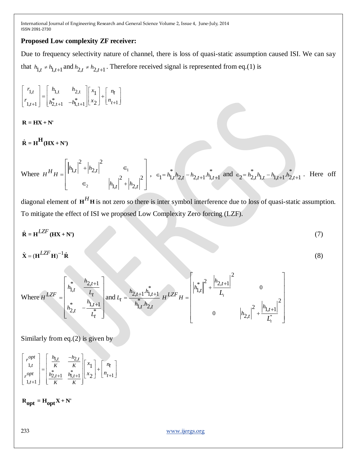# **Proposed Low complexity ZF receiver:**

Due to frequency selectivity nature of channel, there is loss of quasi-static assumption caused ISI. We can say that  $h_{1,t} \neq h_{1,t+1}$  and  $h_{2,t} \neq h_{2,t+1}$ . Therefore received signal is represented from eq.(1) is

$$
\begin{bmatrix} r_{1,t} \\ r_{1,t+1} \end{bmatrix} = \begin{bmatrix} h_{1,t} & h_{2,t} \\ h_{2,t+1}^* & -h_{1,t+1}^* \end{bmatrix} \begin{bmatrix} x_1 \\ x_2 \end{bmatrix} + \begin{bmatrix} n_t \\ n_{t+1} \end{bmatrix}
$$

 $\mathbf{R} = \mathbf{H}\mathbf{X} + \mathbf{N}'$ 

 $\hat{\mathbf{R}} = \mathbf{H}^{\mathbf{H}} (\mathbf{H} \mathbf{X} + \mathbf{N}')$ 

Where 
$$
H^H H = \begin{bmatrix} h_{1,t} \end{bmatrix}^2 + h_{2,t} \begin{bmatrix} 1 & \epsilon_1 \\ \epsilon_2 & h_{1,t} \end{bmatrix}^2 + h_{2,t} \begin{bmatrix} 1 & \epsilon_1 \\ \epsilon_2 & h_{1,t} \end{bmatrix}^2
$$
,  $\epsilon_1 = h_{1,t}^* h_{2,t} - h_{2,t+1} h_{1,t+1}^*$  and  $\epsilon_2 = h_{2,t}^* h_{1,t} - h_{1,t+1} h_{2,t+1}^*$ . Here off

diagonal element of  $H<sup>H</sup>H$  is not zero so there is inter symbol interference due to loss of quasi-static assumption. To mitigate the effect of ISI we proposed Low Complexity Zero forcing (LZF).

(8)

$$
\hat{\mathbf{R}} = \mathbf{H}^{LZF}(\mathbf{H}\mathbf{X} + \mathbf{N}^*)
$$
 (7)

 $\hat{\mathbf{X}} = (\mathbf{H}^{LZF} \mathbf{H})^{-1} \hat{\mathbf{R}}$ 

Where 
$$
H^{LZF} = \begin{bmatrix} \sum_{h_{1,t}}^{*} & \frac{h_{2,t+1}}{L_t} \\ \sum_{h_{2,t}}^{*} & -\frac{h_{1,t+1}}{L_t} \end{bmatrix}
$$
 and  $L_t = \frac{h_{2,t+1}h_{1,t+1}^*}{h_{1,t}^*h_{2,t}} H^{LZF} H = \begin{bmatrix} \left| h_{1,t}^* \right|^2 + \frac{\left| h_{2,t+1} \right|^2}{L_t} & 0 \\ 0 & \left| h_{2,t} \right|^2 + \frac{\left| h_{1,t+1} \right|^2}{L_t^*} \end{bmatrix}$ 

Similarly from eq.(2) is given by

$$
\begin{bmatrix} r^{opt} \\ 1,t \\ r^{opt} \\ 1,t+1 \end{bmatrix} = \begin{bmatrix} \frac{h_{1,t}}{K} & \frac{-h_{2,t}}{K} \\ \frac{h_{2,t+1}^*}{K} & \frac{h_{1,t+1}^*}{K} \end{bmatrix} \begin{bmatrix} x_1 \\ x_2 \end{bmatrix} + \begin{bmatrix} n_t \\ n_{t+1} \end{bmatrix}
$$

 $R_{\text{opt}} = H_{\text{opt}} X + N'$ 

233 [www.ijergs.org](http://www.ijergs.org/)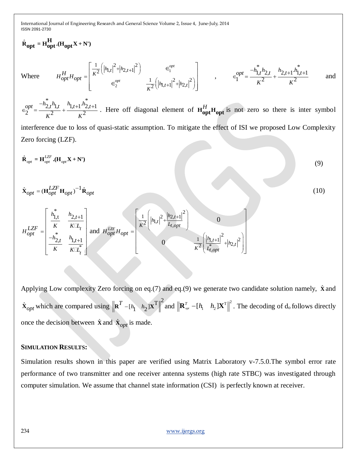$$
\hat{\mathbf{R}}_{opt} = \mathbf{H}_{opt}^{\mathbf{H}} \cdot (\mathbf{H}_{opt} \mathbf{X} + \mathbf{N}')
$$
\nWhere\n
$$
H_{opt}^{\mathbf{H}} H_{opt} = \begin{bmatrix}\n\frac{1}{K^2} \left( |h_{1,t}|^2 + |h_{2,t+1}|^2 \right) & \epsilon_1^{opt} \\
\epsilon_2^{opt} & \frac{1}{K^2} \left( |h_{1,t+1}|^2 + |h_{2,t}|^2 \right)\n\end{bmatrix}, \quad \epsilon_1^{opt} = \frac{-h_{1,t}^* h_{2,t} + h_{2,t+1}^* h_{1,t+1}^*}{K^2} \quad \text{and}
$$
\n
$$
\epsilon_2^{opt} = \frac{-h_{2,t}^* h_{1,t} + h_{2,t+1}^* h_{2,t+1}^*}{K^2}.
$$
\nHere of diagonal element of  $\mathbf{H}_{opt}^{\mathbf{H}} \mathbf{H}_{opt}$  is not zero so there is inter symbol interference due to loss of quasi-static assumption. To mitigate the effect of IST we proposed Low Complexity Zero forcing (LZF).  
\n
$$
\hat{\mathbf{R}}_{opt} = \mathbf{H}_{opt}^{LZF} \cdot (\mathbf{H}_{opt} \mathbf{H}_{opt})^{-1} \hat{\mathbf{R}}_{opt}
$$
\n(10)\n
$$
\hat{\mathbf{X}}_{opt} = (\mathbf{H}_{opt}^{LZF} \mathbf{H}_{opt})^{-1} \hat{\mathbf{R}}_{opt}
$$
\n(11)\n
$$
H_{opt}^{LZF} = \begin{bmatrix}\n\frac{h_{1,t}}{K} & \frac{h_{2,t+1}}{K^2} \\
-\frac{h_{2,t}}{K} & \frac{h_{1,t+1}}{K^2}\n\end{bmatrix} \text{ and } H_{opt}^{LZF} H_{opt}
$$
\n(12)\n
$$
\mathbf{H}_{opt}^{LZF} = \begin{bmatrix}\n\frac{1}{K^2} \left[ |h_{1,t}|^2 + \frac{|h_{2,t+1}|^2}{L_{1,opt}} \right] & 0 \\
0 & \frac{1}{K^2} \left[ \frac{|h_{1,t+1}|^2}{L_{1,opt}} + |h_{2,t}|^2 \right]\n\end{bmatrix}
$$
\nApplying Low complexity Zero forcing on eq.(7) and eq.(9) we generate two candidate solution namely,  $\hat{\mathbf{X}}$ 

 $\hat{\mathbf{x}}_{opt}$  which are compared using  $\mathbf{R}^T - [h_1 \quad h_2] \mathbf{X}^T \bigg\|^2$  and  $\bigg\| \mathbf{R}_{\text{opt}}^T - [h_1 \quad h_2] \mathbf{X}^T \bigg\|^2$ . The decoding of  $d_0$  follows directly once the decision between  $\hat{\mathbf{x}}$  and  $\hat{\mathbf{x}}_{opt}$  is made.

#### **SIMULATION RESULTS:**

Simulation results shown in this paper are verified using Matrix Laboratory v-7.5.0.The symbol error rate performance of two transmitter and one receiver antenna systems (high rate STBC) was investigated through computer simulation. We assume that channel state information (CSI) is perfectly known at receiver.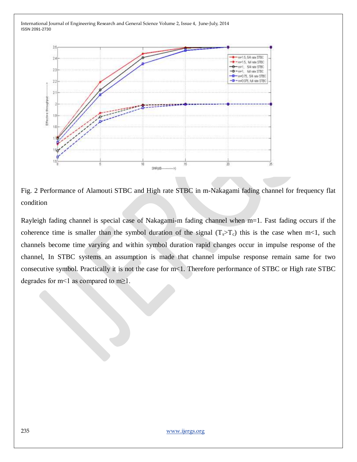

Fig. 2 Performance of Alamouti STBC and High rate STBC in m-Nakagami fading channel for frequency flat condition

Rayleigh fading channel is special case of Nakagami-m fading channel when m=1. Fast fading occurs if the coherence time is smaller than the symbol duration of the signal  $(T_s > T_c)$  this is the case when m<1, such channels become time varying and within symbol duration rapid changes occur in impulse response of the channel, In STBC systems an assumption is made that channel impulse response remain same for two consecutive symbol. Practically it is not the case for m<1. Therefore performance of STBC or High rate STBC degrades for m<1 as compared to m $\geq$ 1.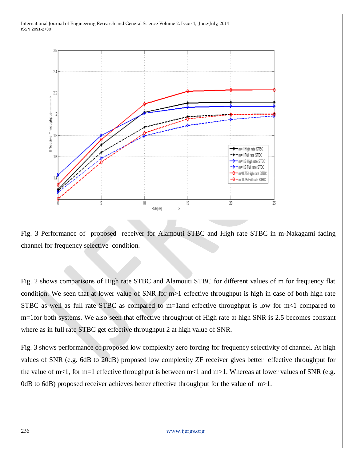

Fig. 3 Performance of proposed receiver for Alamouti STBC and High rate STBC in m-Nakagami fading channel for frequency selective condition.

Fig. 2 shows comparisons of High rate STBC and Alamouti STBC for different values of m for frequency flat condition. We seen that at lower value of SNR for m>1 effective throughput is high in case of both high rate STBC as well as full rate STBC as compared to m=1and effective throughput is low for m<1 compared to m=1for both systems. We also seen that effective throughput of High rate at high SNR is 2.5 becomes constant where as in full rate STBC get effective throughput 2 at high value of SNR.

Fig. 3 shows performance of proposed low complexity zero forcing for frequency selectivity of channel. At high values of SNR (e.g. 6dB to 20dB) proposed low complexity ZF receiver gives better effective throughput for the value of m<1, for m=1 effective throughput is between m<1 and m>1. Whereas at lower values of SNR (e.g. 0dB to 6dB) proposed receiver achieves better effective throughput for the value of  $m>1$ .

236 [www.ijergs.org](http://www.ijergs.org/)